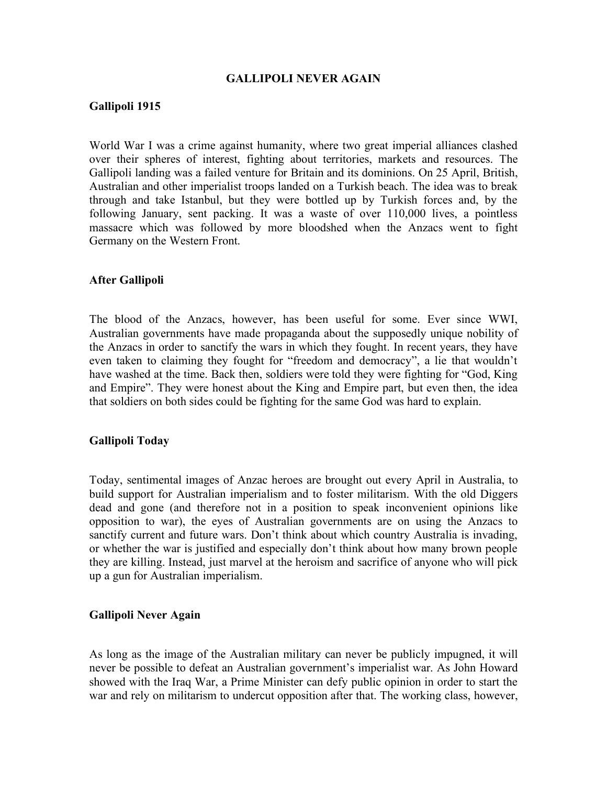#### **GALLIPOLI NEVER AGAIN**

### **Gallipoli 1915**

World War I was a crime against humanity, where two great imperial alliances clashed over their spheres of interest, fighting about territories, markets and resources. The Gallipoli landing was a failed venture for Britain and its dominions. On 25 April, British, Australian and other imperialist troops landed on a Turkish beach. The idea was to break through and take Istanbul, but they were bottled up by Turkish forces and, by the following January, sent packing. It was a waste of over 110,000 lives, a pointless massacre which was followed by more bloodshed when the Anzacs went to fight Germany on the Western Front.

### **After Gallipoli**

The blood of the Anzacs, however, has been useful for some. Ever since WWI, Australian governments have made propaganda about the supposedly unique nobility of the Anzacs in order to sanctify the wars in which they fought. In recent years, they have even taken to claiming they fought for "freedom and democracy", a lie that wouldn't have washed at the time. Back then, soldiers were told they were fighting for "God, King and Empire". They were honest about the King and Empire part, but even then, the idea that soldiers on both sides could be fighting for the same God was hard to explain.

### **Gallipoli Today**

Today, sentimental images of Anzac heroes are brought out every April in Australia, to build support for Australian imperialism and to foster militarism. With the old Diggers dead and gone (and therefore not in a position to speak inconvenient opinions like opposition to war), the eyes of Australian governments are on using the Anzacs to sanctify current and future wars. Don't think about which country Australia is invading, or whether the war is justified and especially don't think about how many brown people they are killing. Instead, just marvel at the heroism and sacrifice of anyone who will pick up a gun for Australian imperialism.

#### **Gallipoli Never Again**

As long as the image of the Australian military can never be publicly impugned, it will never be possible to defeat an Australian government's imperialist war. As John Howard showed with the Iraq War, a Prime Minister can defy public opinion in order to start the war and rely on militarism to undercut opposition after that. The working class, however,